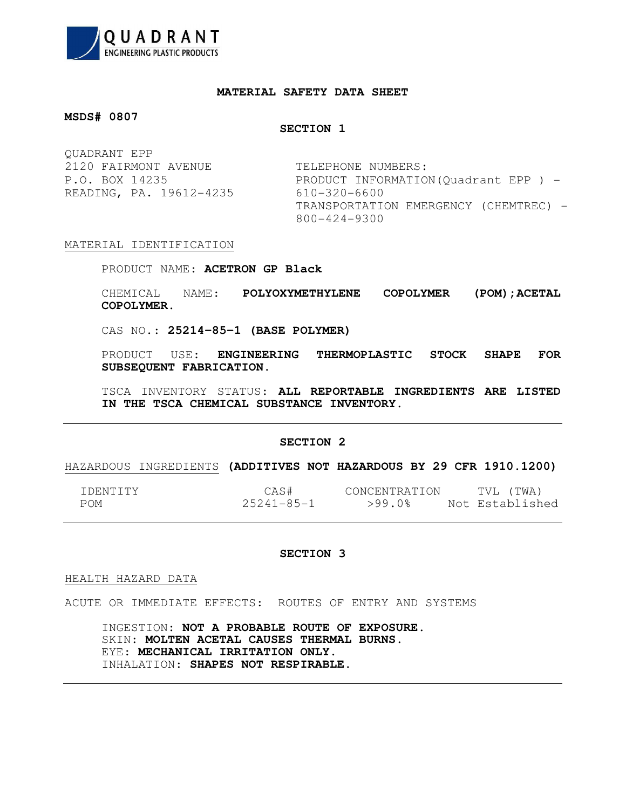

# **MATERIAL SAFETY DATA SHEET**

# **MSDS# 0807**

# **SECTION 1**

| OUADRANT EPP            |                                       |
|-------------------------|---------------------------------------|
| 2120 FAIRMONT AVENUE    | TELEPHONE NUMBERS:                    |
| P.O. BOX 14235          | PRODUCT INFORMATION (Quadrant EPP) -  |
| READING, PA. 19612-4235 | 610-320-6600                          |
|                         | TRANSPORTATION EMERGENCY (CHEMTREC) - |
|                         | 800-424-9300                          |

### MATERIAL IDENTIFICATION

PRODUCT NAME: **ACETRON GP Black**

CHEMICAL NAME: **POLYOXYMETHYLENE COPOLYMER (POM);ACETAL COPOLYMER.**

CAS NO.: **25214-85-1 (BASE POLYMER)**

PRODUCT USE: **ENGINEERING THERMOPLASTIC STOCK SHAPE FOR SUBSEQUENT FABRICATION.**

TSCA INVENTORY STATUS: **ALL REPORTABLE INGREDIENTS ARE LISTED IN THE TSCA CHEMICAL SUBSTANCE INVENTORY.**

## **SECTION 2**

# HAZARDOUS INGREDIENTS **(ADDITIVES NOT HAZARDOUS BY 29 CFR 1910.1200)**

| TDENTITY | CAS#             | CONCENTRATION | 'TWA)<br>TVI.   |
|----------|------------------|---------------|-----------------|
| POM      | $25241 - 85 - 1$ | >99.0%        | Not Established |

## **SECTION 3**

HEALTH HAZARD DATA

 $\overline{\phantom{a}}$ 

ACUTE OR IMMEDIATE EFFECTS: ROUTES OF ENTRY AND SYSTEMS

 INGESTION: **NOT A PROBABLE ROUTE OF EXPOSURE.** SKIN: **MOLTEN ACETAL CAUSES THERMAL BURNS.** EYE: **MECHANICAL IRRITATION ONLY.** INHALATION: **SHAPES NOT RESPIRABLE.**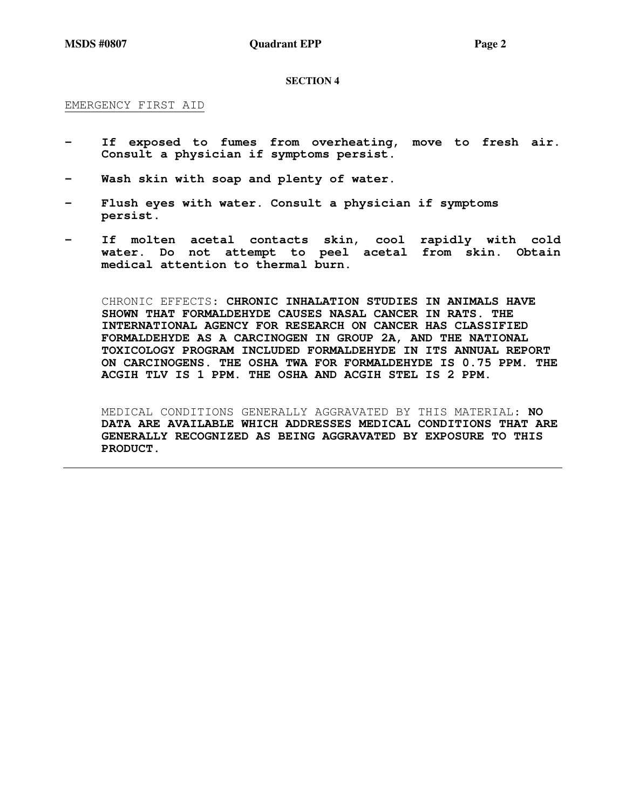**MSDS #0807 Quadrant EPP** Page 2

#### **SECTION 4**

#### EMERGENCY FIRST AID

- **If exposed to fumes from overheating, move to fresh air. Consult a physician if symptoms persist.**
- **Wash skin with soap and plenty of water.**
- Flush eyes with water. Consult a physician if symptoms  **persist.**
- **If molten acetal contacts skin, cool rapidly with cold water. Do not attempt to peel acetal from skin. Obtain medical attention to thermal burn.**

CHRONIC EFFECTS: **CHRONIC INHALATION STUDIES IN ANIMALS HAVE SHOWN THAT FORMALDEHYDE CAUSES NASAL CANCER IN RATS. THE INTERNATIONAL AGENCY FOR RESEARCH ON CANCER HAS CLASSIFIED FORMALDEHYDE AS A CARCINOGEN IN GROUP 2A, AND THE NATIONAL TOXICOLOGY PROGRAM INCLUDED FORMALDEHYDE IN ITS ANNUAL REPORT ON CARCINOGENS. THE OSHA TWA FOR FORMALDEHYDE IS 0.75 PPM. THE ACGIH TLV IS 1 PPM. THE OSHA AND ACGIH STEL IS 2 PPM.**

MEDICAL CONDITIONS GENERALLY AGGRAVATED BY THIS MATERIAL: **NO DATA ARE AVAILABLE WHICH ADDRESSES MEDICAL CONDITIONS THAT ARE GENERALLY RECOGNIZED AS BEING AGGRAVATED BY EXPOSURE TO THIS PRODUCT.**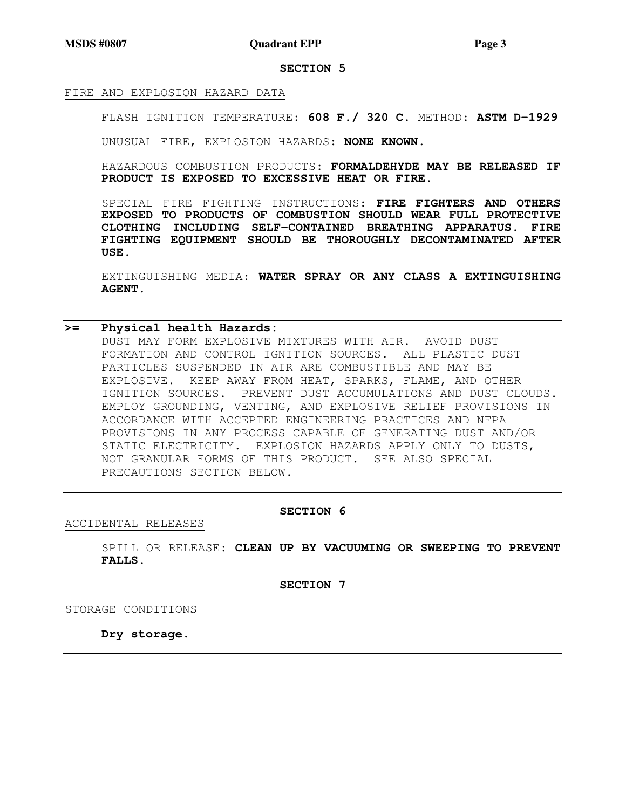**MSDS #0807 Quadrant EPP Page 3 Page 3** 

### **SECTION 5**

#### FIRE AND EXPLOSION HAZARD DATA

FLASH IGNITION TEMPERATURE: **608 F./ 320 C.** METHOD: **ASTM D-1929**

UNUSUAL FIRE, EXPLOSION HAZARDS: **NONE KNOWN.**

HAZARDOUS COMBUSTION PRODUCTS: **FORMALDEHYDE MAY BE RELEASED IF PRODUCT IS EXPOSED TO EXCESSIVE HEAT OR FIRE.** 

SPECIAL FIRE FIGHTING INSTRUCTIONS: **FIRE FIGHTERS AND OTHERS EXPOSED TO PRODUCTS OF COMBUSTION SHOULD WEAR FULL PROTECTIVE CLOTHING INCLUDING SELF-CONTAINED BREATHING APPARATUS. FIRE FIGHTING EQUIPMENT SHOULD BE THOROUGHLY DECONTAMINATED AFTER USE.**

EXTINGUISHING MEDIA: **WATER SPRAY OR ANY CLASS A EXTINGUISHING AGENT.**

# **>= Physical health Hazards:**

DUST MAY FORM EXPLOSIVE MIXTURES WITH AIR. AVOID DUST FORMATION AND CONTROL IGNITION SOURCES. ALL PLASTIC DUST PARTICLES SUSPENDED IN AIR ARE COMBUSTIBLE AND MAY BE EXPLOSIVE. KEEP AWAY FROM HEAT, SPARKS, FLAME, AND OTHER IGNITION SOURCES. PREVENT DUST ACCUMULATIONS AND DUST CLOUDS. EMPLOY GROUNDING, VENTING, AND EXPLOSIVE RELIEF PROVISIONS IN ACCORDANCE WITH ACCEPTED ENGINEERING PRACTICES AND NFPA PROVISIONS IN ANY PROCESS CAPABLE OF GENERATING DUST AND/OR STATIC ELECTRICITY. EXPLOSION HAZARDS APPLY ONLY TO DUSTS, NOT GRANULAR FORMS OF THIS PRODUCT. SEE ALSO SPECIAL PRECAUTIONS SECTION BELOW.

# **SECTION 6**

ACCIDENTAL RELEASES

SPILL OR RELEASE: **CLEAN UP BY VACUUMING OR SWEEPING TO PREVENT FALLS.** 

**SECTION 7** 

STORAGE CONDITIONS

**Dry storage.**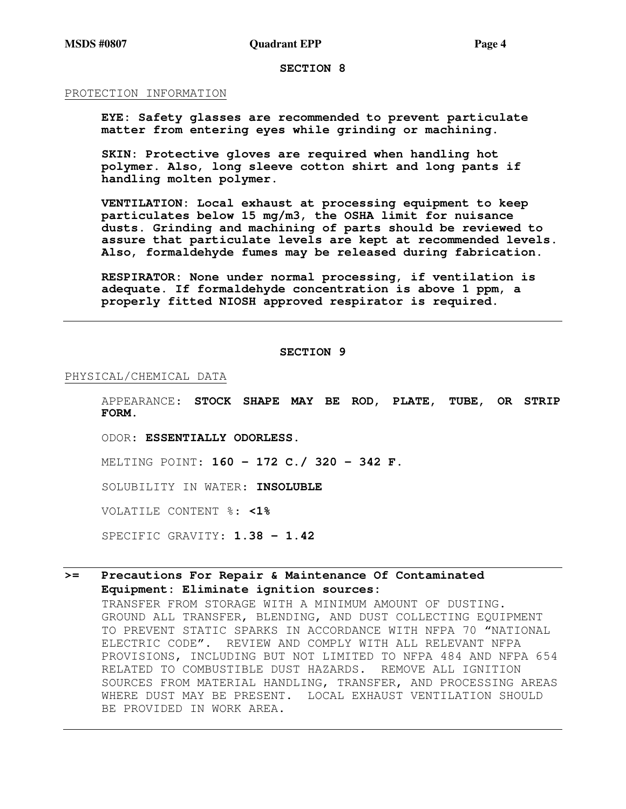# **SECTION 8**

#### PROTECTION INFORMATION

**EYE: Safety glasses are recommended to prevent particulate matter from entering eyes while grinding or machining.** 

**SKIN: Protective gloves are required when handling hot polymer. Also, long sleeve cotton shirt and long pants if handling molten polymer.** 

**VENTILATION: Local exhaust at processing equipment to keep particulates below 15 mg/m3, the OSHA limit for nuisance dusts. Grinding and machining of parts should be reviewed to assure that particulate levels are kept at recommended levels. Also, formaldehyde fumes may be released during fabrication.** 

**RESPIRATOR: None under normal processing, if ventilation is adequate. If formaldehyde concentration is above 1 ppm, a properly fitted NIOSH approved respirator is required.** 

#### **SECTION 9**

### PHYSICAL/CHEMICAL DATA

APPEARANCE: **STOCK SHAPE MAY BE ROD, PLATE, TUBE, OR STRIP FORM.**

ODOR: **ESSENTIALLY ODORLESS.**

MELTING POINT: **160 - 172 C./ 320 - 342 F.**

SOLUBILITY IN WATER: **INSOLUBLE**

VOLATILE CONTENT %: **<1%**

SPECIFIC GRAVITY: **1.38 - 1.42** 

# **>= Precautions For Repair & Maintenance Of Contaminated Equipment: Eliminate ignition sources:**

TRANSFER FROM STORAGE WITH A MINIMUM AMOUNT OF DUSTING. GROUND ALL TRANSFER, BLENDING, AND DUST COLLECTING EQUIPMENT TO PREVENT STATIC SPARKS IN ACCORDANCE WITH NFPA 70 "NATIONAL ELECTRIC CODE". REVIEW AND COMPLY WITH ALL RELEVANT NFPA PROVISIONS, INCLUDING BUT NOT LIMITED TO NFPA 484 AND NFPA 654 RELATED TO COMBUSTIBLE DUST HAZARDS. REMOVE ALL IGNITION SOURCES FROM MATERIAL HANDLING, TRANSFER, AND PROCESSING AREAS WHERE DUST MAY BE PRESENT. LOCAL EXHAUST VENTILATION SHOULD BE PROVIDED IN WORK AREA.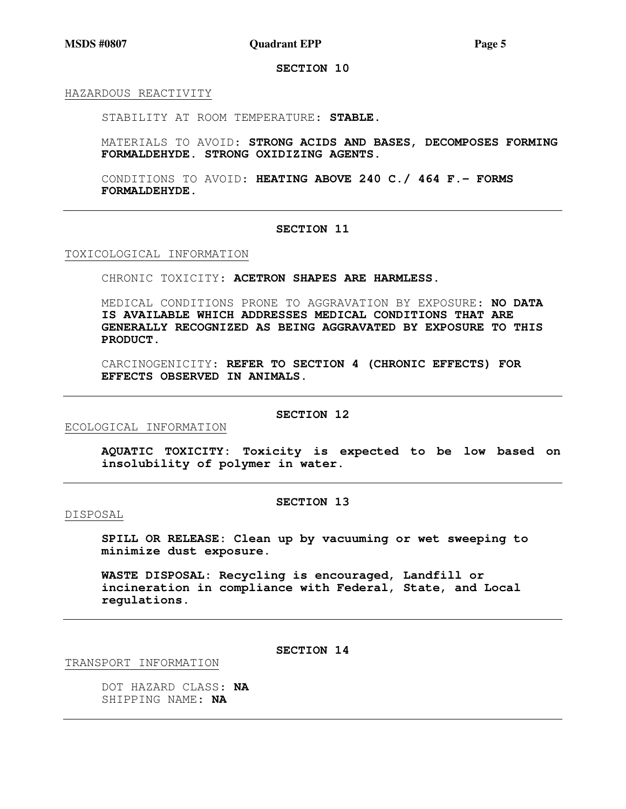**MSDS #0807 Quadrant EPP Page 5 Page 5** 

**SECTION 10** 

HAZARDOUS REACTIVITY

STABILITY AT ROOM TEMPERATURE: **STABLE.**

MATERIALS TO AVOID: **STRONG ACIDS AND BASES, DECOMPOSES FORMING FORMALDEHYDE. STRONG OXIDIZING AGENTS.**

CONDITIONS TO AVOID: **HEATING ABOVE 240 C./ 464 F.- FORMS FORMALDEHYDE.**

### **SECTION 11**

TOXICOLOGICAL INFORMATION

CHRONIC TOXICITY: **ACETRON SHAPES ARE HARMLESS.** 

MEDICAL CONDITIONS PRONE TO AGGRAVATION BY EXPOSURE: **NO DATA IS AVAILABLE WHICH ADDRESSES MEDICAL CONDITIONS THAT ARE GENERALLY RECOGNIZED AS BEING AGGRAVATED BY EXPOSURE TO THIS PRODUCT.**

CARCINOGENICITY: **REFER TO SECTION 4 (CHRONIC EFFECTS) FOR EFFECTS OBSERVED IN ANIMALS.**

ECOLOGICAL INFORMATION

#### **SECTION 12**

**AQUATIC TOXICITY: Toxicity is expected to be low based on insolubility of polymer in water.** 

#### **SECTION 13**

#### DISPOSAL

**SPILL OR RELEASE: Clean up by vacuuming or wet sweeping to minimize dust exposure.** 

**WASTE DISPOSAL: Recycling is encouraged, Landfill or incineration in compliance with Federal, State, and Local regulations.** 

TRANSPORT INFORMATION

**SECTION 14** 

DOT HAZARD CLASS: **NA** SHIPPING NAME: **NA**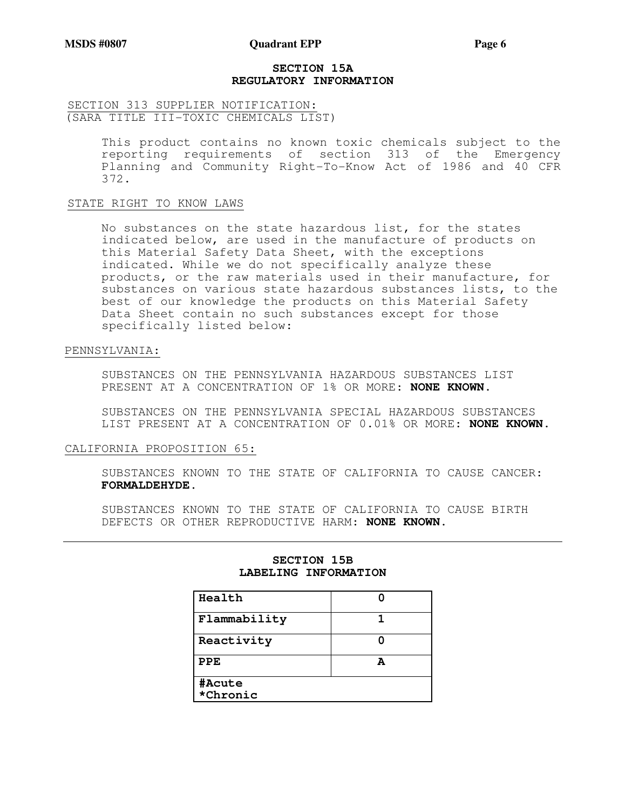# **SECTION 15A REGULATORY INFORMATION**

# SECTION 313 SUPPLIER NOTIFICATION: (SARA TITLE III-TOXIC CHEMICALS LIST)

This product contains no known toxic chemicals subject to the reporting requirements of section 313 of the Emergency Planning and Community Right-To-Know Act of 1986 and 40 CFR 372.

### STATE RIGHT TO KNOW LAWS

No substances on the state hazardous list, for the states indicated below, are used in the manufacture of products on this Material Safety Data Sheet, with the exceptions indicated. While we do not specifically analyze these products, or the raw materials used in their manufacture, for substances on various state hazardous substances lists, to the best of our knowledge the products on this Material Safety Data Sheet contain no such substances except for those specifically listed below:

### PENNSYLVANIA:

SUBSTANCES ON THE PENNSYLVANIA HAZARDOUS SUBSTANCES LIST PRESENT AT A CONCENTRATION OF 1% OR MORE: **NONE KNOWN.**

SUBSTANCES ON THE PENNSYLVANIA SPECIAL HAZARDOUS SUBSTANCES LIST PRESENT AT A CONCENTRATION OF 0.01% OR MORE: **NONE KNOWN.**

# CALIFORNIA PROPOSITION 65:

SUBSTANCES KNOWN TO THE STATE OF CALIFORNIA TO CAUSE CANCER: **FORMALDEHYDE.**

SUBSTANCES KNOWN TO THE STATE OF CALIFORNIA TO CAUSE BIRTH DEFECTS OR OTHER REPRODUCTIVE HARM: **NONE KNOWN.**

| Health             |   |  |
|--------------------|---|--|
| Flammability       |   |  |
| Reactivity         |   |  |
| $_{\rm PPE}$       | A |  |
| #Acute<br>*Chronic |   |  |

# **SECTION 15B LABELING INFORMATION**